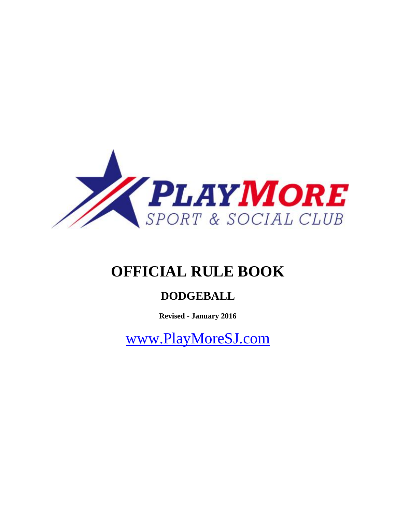

# **OFFICIAL RULE BOOK**

# **DODGEBALL**

**Revised - January 2016**

[www.PlayMoreSJ.com](http://www.playmoresj.com/)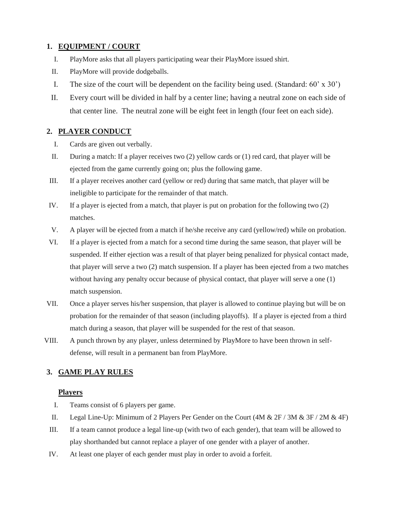# **1. EQUIPMENT / COURT**

- I. PlayMore asks that all players participating wear their PlayMore issued shirt.
- II. PlayMore will provide dodgeballs.
- I. The size of the court will be dependent on the facility being used. (Standard:  $60' \times 30'$ )
- II. Every court will be divided in half by a center line; having a neutral zone on each side of that center line. The neutral zone will be eight feet in length (four feet on each side).

# **2. PLAYER CONDUCT**

- I. Cards are given out verbally.
- II. During a match: If a player receives two (2) yellow cards or (1) red card, that player will be ejected from the game currently going on; plus the following game.
- III. If a player receives another card (yellow or red) during that same match, that player will be ineligible to participate for the remainder of that match.
- IV. If a player is ejected from a match, that player is put on probation for the following two (2) matches.
- V. A player will be ejected from a match if he/she receive any card (yellow/red) while on probation.
- VI. If a player is ejected from a match for a second time during the same season, that player will be suspended. If either ejection was a result of that player being penalized for physical contact made, that player will serve a two (2) match suspension. If a player has been ejected from a two matches without having any penalty occur because of physical contact, that player will serve a one (1) match suspension.
- VII. Once a player serves his/her suspension, that player is allowed to continue playing but will be on probation for the remainder of that season (including playoffs). If a player is ejected from a third match during a season, that player will be suspended for the rest of that season.
- VIII. A punch thrown by any player, unless determined by PlayMore to have been thrown in selfdefense, will result in a permanent ban from PlayMore.

# **3. GAME PLAY RULES**

#### **Players**

- I. Teams consist of 6 players per game.
- II. Legal Line-Up: Minimum of 2 Players Per Gender on the Court  $(4M \& 2F / 3M \& 3F / 2M \& 4F)$
- III. If a team cannot produce a legal line-up (with two of each gender), that team will be allowed to play shorthanded but cannot replace a player of one gender with a player of another.
- IV. At least one player of each gender must play in order to avoid a forfeit.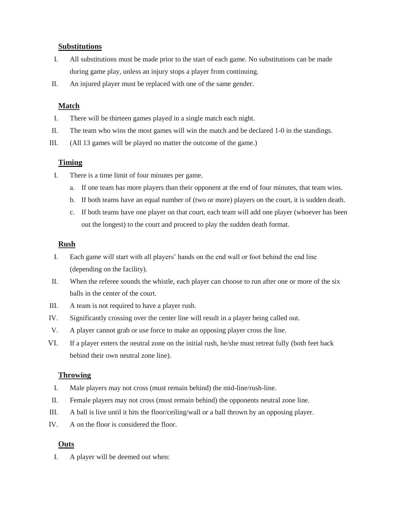#### **Substitutions**

- I. All substitutions must be made prior to the start of each game. No substitutions can be made during game play, unless an injury stops a player from continuing.
- II. An injured player must be replaced with one of the same gender.

# **Match**

- I. There will be thirteen games played in a single match each night.
- II. The team who wins the most games will win the match and be declared 1-0 in the standings.
- III. (All 13 games will be played no matter the outcome of the game.)

#### **Timing**

- I. There is a time limit of four minutes per game.
	- a. If one team has more players than their opponent at the end of four minutes, that team wins.
	- b. If both teams have an equal number of (two or more) players on the court, it is sudden death.
	- c. If both teams have one player on that court, each team will add one player (whoever has been out the longest) to the court and proceed to play the sudden death format.

#### **Rush**

- I. Each game will start with all players' hands on the end wall or foot behind the end line (depending on the facility).
- II. When the referee sounds the whistle, each player can choose to run after one or more of the six balls in the center of the court.
- III. A team is not required to have a player rush.
- IV. Significantly crossing over the center line will result in a player being called out.
- V. A player cannot grab or use force to make an opposing player cross the line.
- VI. If a player enters the neutral zone on the initial rush, he/she must retreat fully (both feet back behind their own neutral zone line).

# **Throwing**

- I. Male players may not cross (must remain behind) the mid-line/rush-line.
- II. Female players may not cross (must remain behind) the opponents neutral zone line.
- III. A ball is live until it hits the floor/ceiling/wall or a ball thrown by an opposing player.
- IV. A on the floor is considered the floor.

# **Outs**

I. A player will be deemed out when: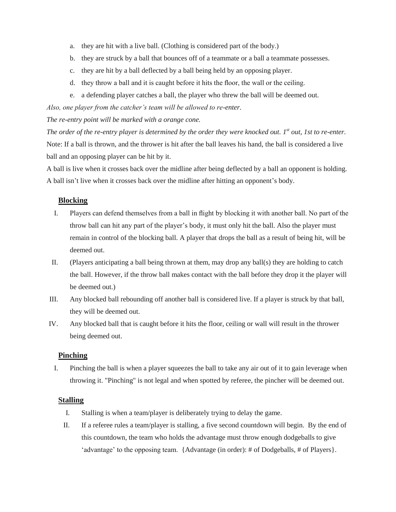- a. they are hit with a live ball. (Clothing is considered part of the body.)
- b. they are struck by a ball that bounces off of a teammate or a ball a teammate possesses.
- c. they are hit by a ball deflected by a ball being held by an opposing player.
- d. they throw a ball and it is caught before it hits the floor, the wall or the ceiling.
- e. a defending player catches a ball, the player who threw the ball will be deemed out.

*Also, one player from the catcher's team will be allowed to re-enter.* 

*The re-entry point will be marked with a orange cone.* 

*The order of the re-entry player is determined by the order they were knocked out. 1<sup>st</sup> out, 1st to re-enter.* Note: If a ball is thrown, and the thrower is hit after the ball leaves his hand, the ball is considered a live ball and an opposing player can be hit by it.

A ball is live when it crosses back over the midline after being deflected by a ball an opponent is holding. A ball isn't live when it crosses back over the midline after hitting an opponent's body.

#### **Blocking**

- I. Players can defend themselves from a ball in flight by blocking it with another ball. No part of the throw ball can hit any part of the player's body, it must only hit the ball. Also the player must remain in control of the blocking ball. A player that drops the ball as a result of being hit, will be deemed out.
- II. (Players anticipating a ball being thrown at them, may drop any ball(s) they are holding to catch the ball. However, if the throw ball makes contact with the ball before they drop it the player will be deemed out.)
- III. Any blocked ball rebounding off another ball is considered live. If a player is struck by that ball, they will be deemed out.
- IV. Any blocked ball that is caught before it hits the floor, ceiling or wall will result in the thrower being deemed out.

#### **Pinching**

I. Pinching the ball is when a player squeezes the ball to take any air out of it to gain leverage when throwing it. "Pinching" is not legal and when spotted by referee, the pincher will be deemed out.

#### **Stalling**

- I. Stalling is when a team/player is deliberately trying to delay the game.
- II. If a referee rules a team/player is stalling, a five second countdown will begin. By the end of this countdown, the team who holds the advantage must throw enough dodgeballs to give 'advantage' to the opposing team. {Advantage (in order): # of Dodgeballs, # of Players}.